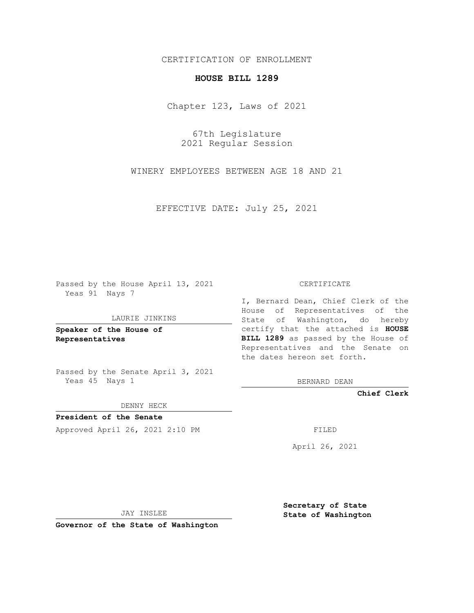## CERTIFICATION OF ENROLLMENT

### **HOUSE BILL 1289**

Chapter 123, Laws of 2021

67th Legislature 2021 Regular Session

WINERY EMPLOYEES BETWEEN AGE 18 AND 21

EFFECTIVE DATE: July 25, 2021

Passed by the House April 13, 2021 Yeas 91 Nays 7

#### LAURIE JINKINS

**Speaker of the House of Representatives**

Passed by the Senate April 3, 2021 Yeas 45 Nays 1

#### DENNY HECK

**President of the Senate** Approved April 26, 2021 2:10 PM

CERTIFICATE

I, Bernard Dean, Chief Clerk of the House of Representatives of the State of Washington, do hereby certify that the attached is **HOUSE BILL 1289** as passed by the House of Representatives and the Senate on the dates hereon set forth.

BERNARD DEAN

**Chief Clerk**

April 26, 2021

JAY INSLEE

**Governor of the State of Washington**

**Secretary of State State of Washington**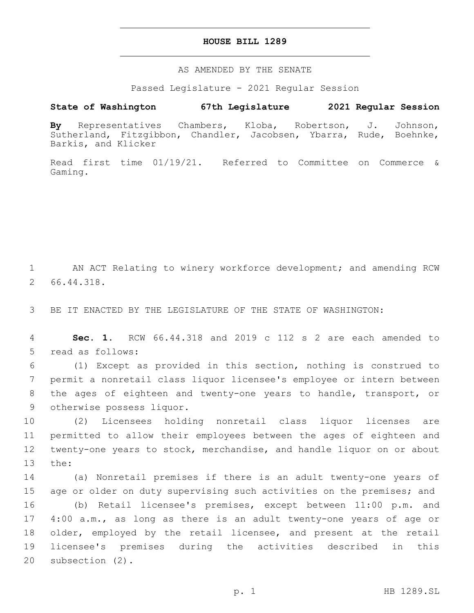## **HOUSE BILL 1289**

AS AMENDED BY THE SENATE

Passed Legislature - 2021 Regular Session

# **State of Washington 67th Legislature 2021 Regular Session**

**By** Representatives Chambers, Kloba, Robertson, J. Johnson, Sutherland, Fitzgibbon, Chandler, Jacobsen, Ybarra, Rude, Boehnke, Barkis, and Klicker

Read first time 01/19/21. Referred to Committee on Commerce & Gaming.

1 AN ACT Relating to winery workforce development; and amending RCW 66.44.318.2

3 BE IT ENACTED BY THE LEGISLATURE OF THE STATE OF WASHINGTON:

4 **Sec. 1.** RCW 66.44.318 and 2019 c 112 s 2 are each amended to 5 read as follows:

 (1) Except as provided in this section, nothing is construed to permit a nonretail class liquor licensee's employee or intern between the ages of eighteen and twenty-one years to handle, transport, or 9 otherwise possess liquor.

 (2) Licensees holding nonretail class liquor licenses are permitted to allow their employees between the ages of eighteen and twenty-one years to stock, merchandise, and handle liquor on or about 13 the:

 (a) Nonretail premises if there is an adult twenty-one years of 15 age or older on duty supervising such activities on the premises; and (b) Retail licensee's premises, except between 11:00 p.m. and 4:00 a.m., as long as there is an adult twenty-one years of age or older, employed by the retail licensee, and present at the retail licensee's premises during the activities described in this 20 subsection (2).